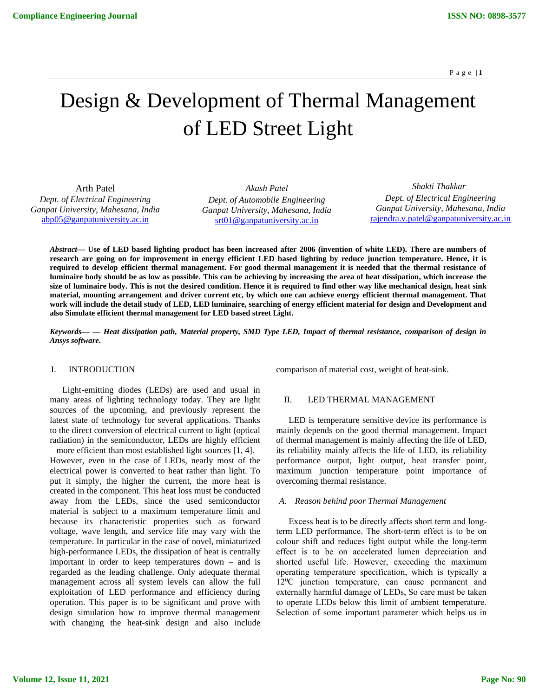# Design & Development of Thermal Management of LED Street Light

Arth Patel *Dept. of Electrical Engineering Ganpat University, Mahesana, India* [abp05@ganpatuniversity.ac.in](mailto:abp05@ganpatuniversity.ac.in)

*Akash Patel Dept. of Automobile Engineering Ganpat University, Mahesana, India* [srt01@ganpatuniversity.ac.in](mailto:srt01@ganpatuniversity.ac.in)

 *Shakti Thakkar Dept. of Electrical Engineering Ganpat University, Mahesana, India* [rajendra.v.patel@ganpatuniversity.ac.in](mailto:rajendra.v.patel@ganpatuniversity.ac.in)

*Abstract***— Use of LED based lighting product has been increased after 2006 (invention of white LED). There are numbers of research are going on for improvement in energy efficient LED based lighting by reduce junction temperature. Hence, it is required to develop efficient thermal management. For good thermal management it is needed that the thermal resistance of luminaire body should be as low as possible. This can be achieving by increasing the area of heat dissipation, which increase the size of luminaire body. This is not the desired condition. Hence it is required to find other way like mechanical design, heat sink material, mounting arrangement and driver current etc, by which one can achieve energy efficient thermal management. That work will include the detail study of LED, LED luminaire, searching of energy efficient material for design and Development and also Simulate efficient thermal management for LED based street Light.**

*Keywords— — Heat dissipation path, Material property, SMD Type LED, Impact of thermal resistance, comparison of design in Ansys software***.**

## I. INTRODUCTION

Light-emitting diodes (LEDs) are used and usual in many areas of lighting technology today. They are light sources of the upcoming, and previously represent the latest state of technology for several applications. Thanks to the direct conversion of electrical current to light (optical radiation) in the semiconductor, LEDs are highly efficient – more efficient than most established light sources [1, 4]. However, even in the case of LEDs, nearly most of the electrical power is converted to heat rather than light. To put it simply, the higher the current, the more heat is created in the component. This heat loss must be conducted away from the LEDs, since the used semiconductor material is subject to a maximum temperature limit and because its characteristic properties such as forward voltage, wave length, and service life may vary with the temperature. In particular in the case of novel, miniaturized high-performance LEDs, the dissipation of heat is centrally important in order to keep temperatures down – and is regarded as the leading challenge. Only adequate thermal management across all system levels can allow the full exploitation of LED performance and efficiency during operation. This paper is to be significant and prove with design simulation how to improve thermal management with changing the heat-sink design and also include comparison of material cost, weight of heat-sink.

## II. LED THERMAL MANAGEMENT

LED is temperature sensitive device its performance is mainly depends on the good thermal management. Impact of thermal management is mainly affecting the life of LED, its reliability mainly affects the life of LED, its reliability performance output, light output, heat transfer point, maximum junction temperature point importance of overcoming thermal resistance.

#### *A. Reason behind poor Thermal Management*

Excess heat is to be directly affects short term and longterm LED performance. The short-term effect is to be on colour shift and reduces light output while the long-term effect is to be on accelerated lumen depreciation and shorted useful life. However, exceeding the maximum operating temperature specification, which is typically a  $12^{\circ}$ C junction temperature, can cause permanent and externally harmful damage of LEDs, So care must be taken to operate LEDs below this limit of ambient temperature. Selection of some important parameter which helps us in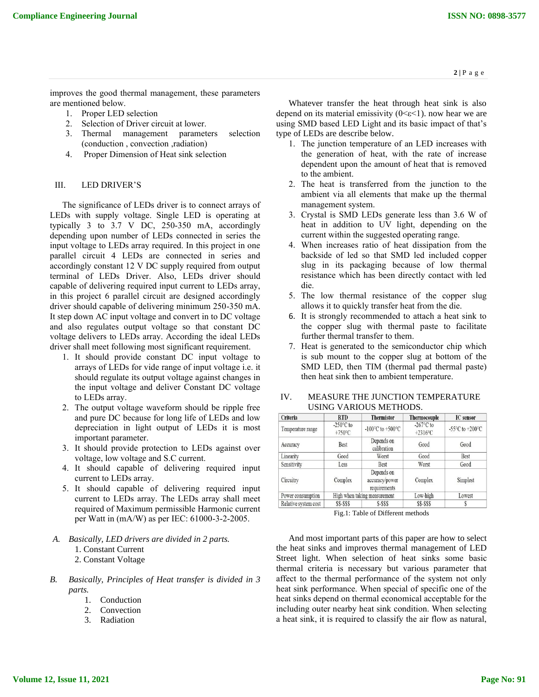improves the good thermal management, these parameters are mentioned below.

- 1. Proper LED selection
- 2. Selection of Driver circuit at lower.
- 3. Thermal management parameters selection (conduction , convection ,radiation)
- 4. Proper Dimension of Heat sink selection

## III. LED DRIVER'S

The significance of LEDs driver is to connect arrays of LEDs with supply voltage. Single LED is operating at typically 3 to 3.7 V DC, 250-350 mA, accordingly depending upon number of LEDs connected in series the input voltage to LEDs array required. In this project in one parallel circuit 4 LEDs are connected in series and accordingly constant 12 V DC supply required from output terminal of LEDs Driver. Also, LEDs driver should capable of delivering required input current to LEDs array, in this project 6 parallel circuit are designed accordingly driver should capable of delivering minimum 250-350 mA. It step down AC input voltage and convert in to DC voltage and also regulates output voltage so that constant DC voltage delivers to LEDs array. According the ideal LEDs driver shall meet following most significant requirement.

- 1. It should provide constant DC input voltage to arrays of LEDs for vide range of input voltage i.e. it should regulate its output voltage against changes in the input voltage and deliver Constant DC voltage to LEDs array.
- 2. The output voltage waveform should be ripple free and pure DC because for long life of LEDs and low depreciation in light output of LEDs it is most important parameter.
- 3. It should provide protection to LEDs against over voltage, low voltage and S.C current.
- 4. It should capable of delivering required input current to LEDs array.
- 5. It should capable of delivering required input current to LEDs array. The LEDs array shall meet required of Maximum permissible Harmonic current per Watt in (mA/W) as per IEC: 61000-3-2-2005.
- *A. Basically, LED drivers are divided in 2 parts.* 1. Constant Current
	- 2. Constant Voltage
- *B. Basically, Principles of Heat transfer is divided in 3 parts.*
	- 1. Conduction
	- 2. Convection
	- 3. Radiation

Whatever transfer the heat through heat sink is also depend on its material emissivity  $(0 \le \epsilon \le 1)$ . now hear we are using SMD based LED Light and its basic impact of that's type of LEDs are describe below.

- 1. The junction temperature of an LED increases with the generation of heat, with the rate of increase dependent upon the amount of heat that is removed to the ambient.
- 2. The heat is transferred from the junction to the ambient via all elements that make up the thermal management system.
- 3. Crystal is SMD LEDs generate less than 3.6 W of heat in addition to UV light, depending on the current within the suggested operating range.
- 4. When increases ratio of heat dissipation from the backside of led so that SMD led included copper slug in its packaging because of low thermal resistance which has been directly contact with led die.
- 5. The low thermal resistance of the copper slug allows it to quickly transfer heat from the die.
- 6. It is strongly recommended to attach a heat sink to the copper slug with thermal paste to facilitate further thermal transfer to them.
- 7. Heat is generated to the semiconductor chip which is sub mount to the copper slug at bottom of the SMD LED, then TIM (thermal pad thermal paste) then heat sink then to ambient temperature.

| Criteria             | <b>RTD</b>                              | <b>Thermistor</b>                            | <b>Thermocouple</b>               | <b>IC</b> sensor                                      |
|----------------------|-----------------------------------------|----------------------------------------------|-----------------------------------|-------------------------------------------------------|
| Temperature range    | $-250^{\circ}$ C to<br>$+750^{\circ}$ C | -100°C to +500°C                             | $-267^{\circ}$ C to<br>$+2316$ °C | -55 $\mathrm{^{\circ}C}$ to +200 $\mathrm{^{\circ}C}$ |
| Accuracy             | Best                                    | Depends on<br>calibration                    | Good                              | Good                                                  |
| Linearity            | Good                                    | Worst                                        | Good                              | Best                                                  |
| Sensitivity          | Less                                    | <b>Best</b>                                  | Worst                             | Good                                                  |
| Circuitry            | Complex                                 | Depends on<br>accuracy/power<br>requirements | Complex                           | Simplest                                              |
| Power consumption    | High when taking measurement            |                                              | Low-high                          | Lowest                                                |
| Relative system cost | \$\$-\$\$\$                             | S-SSS                                        | <b>SS-SSS</b>                     |                                                       |

# IV. MEASURE THE JUNCTION TEMPERATURE USING VARIOUS METHODS.

Fig.1: Table of Different methods

And most important parts of this paper are how to select the heat sinks and improves thermal management of LED Street light. When selection of heat sinks some basic thermal criteria is necessary but various parameter that affect to the thermal performance of the system not only heat sink performance. When special of specific one of the heat sinks depend on thermal economical acceptable for the including outer nearby heat sink condition. When selecting a heat sink, it is required to classify the air flow as natural,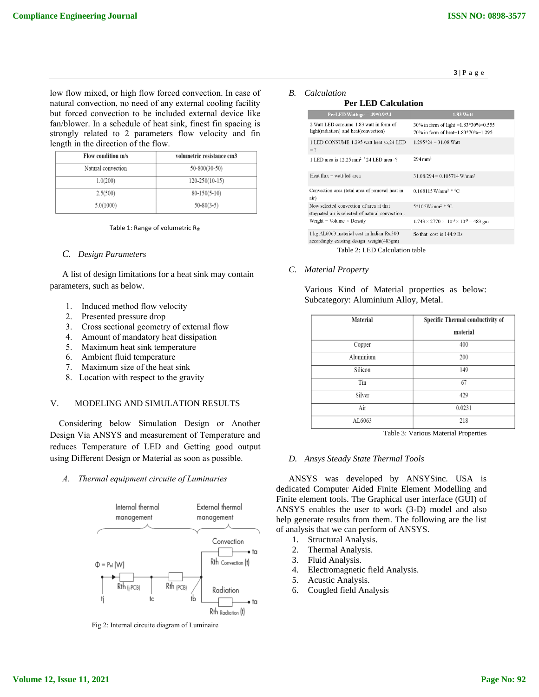$\mathbf{3} \mid \mathbf{P}$ a g e

low flow mixed, or high flow forced convection. In case of natural convection, no need of any external cooling facility but forced convection to be included external device like fan/blower. In a schedule of heat sink, finest fin spacing is strongly related to 2 parameters flow velocity and fin length in the direction of the flow.

| Flow condition m/s | volumetric resistance cm3 |
|--------------------|---------------------------|
| Natural convection | $50 - 800(30 - 50)$       |
| 1.0(200)           | $120 - 250(10 - 15)$      |
| 2.5(500)           | $80-150(5-10)$            |
| 5.0(1000)          | $50 - 80(3 - 5)$          |

#### Table 1: Range of volumetric Rth

#### *C. Design Parameters*

A list of design limitations for a heat sink may contain parameters, such as below.

- 1. Induced method flow velocity
- 2. Presented pressure drop
- 3. Cross sectional geometry of external flow
- 4. Amount of mandatory heat dissipation
- 5. Maximum heat sink temperature
- 6. Ambient fluid temperature
- 7. Maximum size of the heat sink
- 8. Location with respect to the gravity

# V. MODELING AND SIMULATION RESULTS

Considering below Simulation Design or Another Design Via ANSYS and measurement of Temperature and reduces Temperature of LED and Getting good output using Different Design or Material as soon as possible.

*A. Thermal equipment circuite of Luminaries*



Fig.2: Internal circuite diagram of Luminaire

## *B. Calculation*

## **Per LED Calculation**

| PerLED Wattage = $49*0.9/24$                                                                | <b>1.83 Watt</b>                                                           |
|---------------------------------------------------------------------------------------------|----------------------------------------------------------------------------|
| 2 Watt LED consume 1.83 watt in form of<br>light(radiation) and heat(convection)            | 30% in form of light =1.83*30%=0.555<br>70% in form of heat=1.83*70%=1.295 |
| 1 LED CONSUME 1.295 watt heat so, 24 LED<br>$=$ ?                                           | $1.295*24 = 31.08$ Watt                                                    |
| 1 LED area is 12.25 mm <sup>2</sup> $24$ LED area=?                                         | $294 \text{ mm}^2$                                                         |
| Heat flux = watt/led area                                                                   | $31.08/294 = 0.105714$ W/mm <sup>2</sup>                                   |
| Convection area (total area of removal heat in<br>air)                                      | $0.168115$ W/mm <sup>2 * 0</sup> C                                         |
| Now selected convection of area at that<br>stagnated air is selected of natural convection. | $5*10·6$ W/mm <sup>2 <math>*</math>0</sup> C                               |
| Weight = Volume $\times$ Density                                                            | $1.743 \times 2770 \times 10^{-5} \times 10^{-9} = 483$ gm                 |
| 1 kg AL6063 material cost in Indian Rs.300<br>accordingly existing design weight (483gm)    | So that cost is 144.9 Rs.                                                  |
|                                                                                             |                                                                            |

Table 2: LED Calculation table

## *C. Material Property*

Various Kind of Material properties as below: Subcategory: Aluminium Alloy, Metal.

| Material  | Specific Thermal conductivity of<br>material |  |  |
|-----------|----------------------------------------------|--|--|
| Copper    | 400                                          |  |  |
| Aluminium | 200                                          |  |  |
| Silicon   | 149                                          |  |  |
| Tin       | 67                                           |  |  |
| Silver    | 429                                          |  |  |
| Air       | 0.0231                                       |  |  |
| AL6063    | 218                                          |  |  |

Table 3: Various Material Properties

#### *D. Ansys Steady State Thermal Tools*

ANSYS was developed by ANSYSinc. USA is dedicated Computer Aided Finite Element Modelling and Finite element tools. The Graphical user interface (GUI) of ANSYS enables the user to work (3-D) model and also help generate results from them. The following are the list of analysis that we can perform of ANSYS.

- 1. Structural Analysis.
- 2. Thermal Analysis.
- 3. Fluid Analysis.
- 4. Electromagnetic field Analysis.
- 5. Acustic Analysis.
- 6. Cougled field Analysis